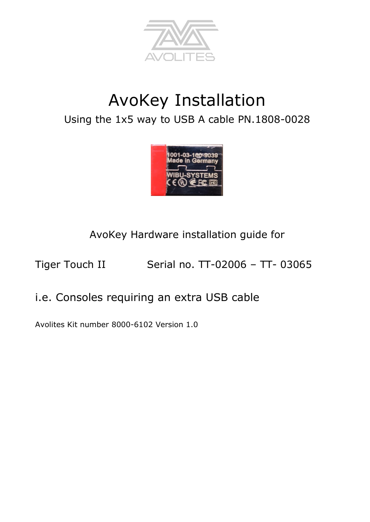

# AvoKey Installation Using the 1x5 way to USB A cable PN.1808-0028



AvoKey Hardware installation guide for

Tiger Touch II Serial no. TT-02006 - TT- 03065

# i.e. Consoles requiring an extra USB cable

Avolites Kit number 8000-6102 Version 1.0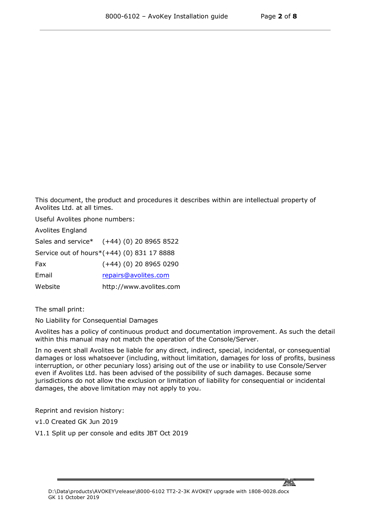This document, the product and procedures it describes within are intellectual property of Avolites Ltd. at all times.

Useful Avolites phone numbers:

Avolites England

Sales and service\* (+44) (0) 20 8965 8522

Service out of hours\*(+44) (0) 831 17 8888

Fax (+44) (0) 20 8965 0290

Email [repairs@avolites.com](mailto:name@avolites.com)

Website http://www.avolites.com

The small print:

No Liability for Consequential Damages

Avolites has a policy of continuous product and documentation improvement. As such the detail within this manual may not match the operation of the Console/Server.

In no event shall Avolites be liable for any direct, indirect, special, incidental, or consequential damages or loss whatsoever (including, without limitation, damages for loss of profits, business interruption, or other pecuniary loss) arising out of the use or inability to use Console/Server even if Avolites Ltd. has been advised of the possibility of such damages. Because some jurisdictions do not allow the exclusion or limitation of liability for consequential or incidental damages, the above limitation may not apply to you.

Reprint and revision history:

v1.0 Created GK Jun 2019

V1.1 Split up per console and edits JBT Oct 2019

<u> Motor</u>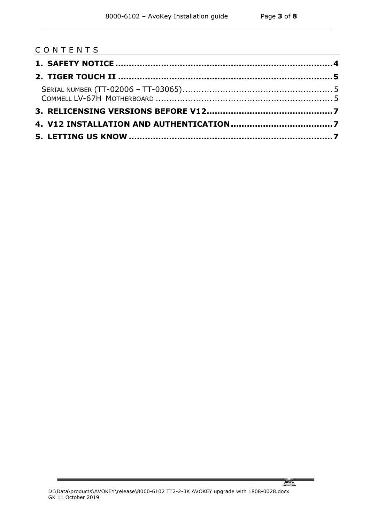#### C O N T E N T S



 $\overline{a}$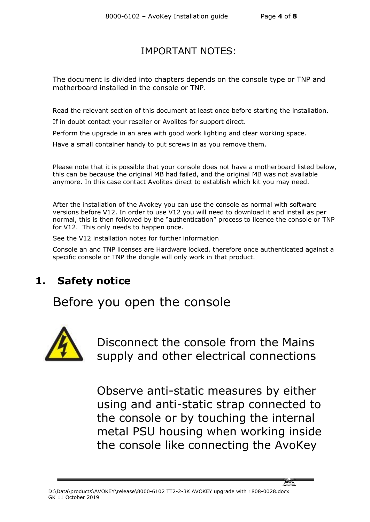#### IMPORTANT NOTES:

The document is divided into chapters depends on the console type or TNP and motherboard installed in the console or TNP.

Read the relevant section of this document at least once before starting the installation.

If in doubt contact your reseller or Avolites for support direct.

Perform the upgrade in an area with good work lighting and clear working space.

Have a small container handy to put screws in as you remove them.

Please note that it is possible that your console does not have a motherboard listed below, this can be because the original MB had failed, and the original MB was not available anymore. In this case contact Avolites direct to establish which kit you may need.

After the installation of the Avokey you can use the console as normal with software versions before V12. In order to use V12 you will need to download it and install as per normal, this is then followed by the "authentication" process to licence the console or TNP for V12. This only needs to happen once.

See the V12 installation notes for further information

Console an and TNP licenses are Hardware locked, therefore once authenticated against a specific console or TNP the dongle will only work in that product.

# **1. Safety notice**

Before you open the console



Disconnect the console from the Mains supply and other electrical connections

Observe anti-static measures by either using and anti-static strap connected to the console or by touching the internal metal PSU housing when working inside the console like connecting the AvoKey

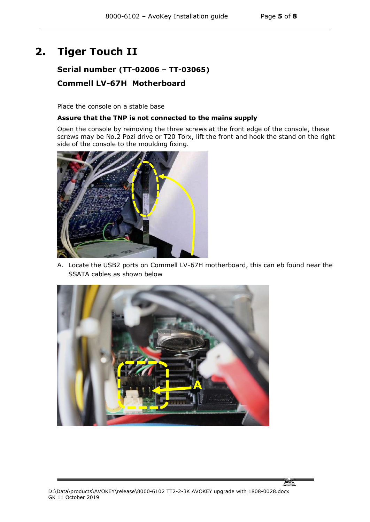# **2. Tiger Touch II**

#### **Serial number (TT-02006 – TT-03065) Commell LV-67H Motherboard**

Place the console on a stable base

#### **Assure that the TNP is not connected to the mains supply**

Open the console by removing the three screws at the front edge of the console, these screws may be No.2 Pozi drive or T20 Torx, lift the front and hook the stand on the right side of the console to the moulding fixing.



A. Locate the USB2 ports on Commell LV-67H motherboard, this can eb found near the SSATA cables as shown below



<u> Motor</u>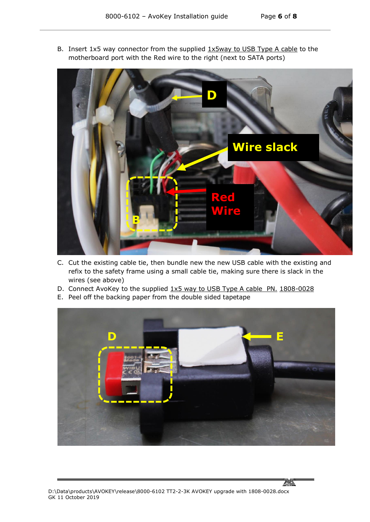<u>ami</u>

B. Insert 1x5 way connector from the supplied 1x5way to USB Type A cable to the motherboard port with the Red wire to the right (next to SATA ports)



- C. Cut the existing cable tie, then bundle new the new USB cable with the existing and refix to the safety frame using a small cable tie, making sure there is slack in the wires (see above)
- D. Connect AvoKey to the supplied 1x5 way to USB Type A cable PN. 1808-0028
- E. Peel off the backing paper from the double sided tapetape

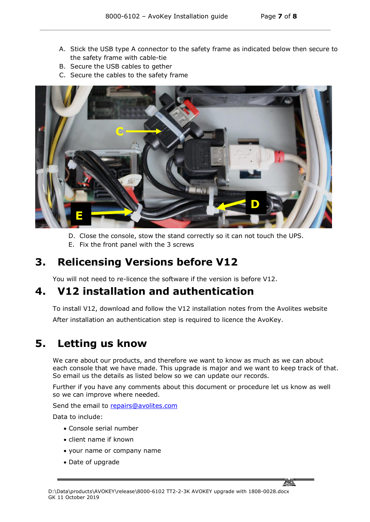- A. Stick the USB type A connector to the safety frame as indicated below then secure to the safety frame with cable-tie
- B. Secure the USB cables to gether
- C. Secure the cables to the safety frame



- D. Close the console, stow the stand correctly so it can not touch the UPS.
- E. Fix the front panel with the 3 screws

# **3. Relicensing Versions before V12**

You will not need to re-licence the software if the version is before V12.

### **4. V12 installation and authentication**

To install V12, download and follow the V12 installation notes from the Avolites website After installation an authentication step is required to licence the AvoKey.

# **5. Letting us know**

We care about our products, and therefore we want to know as much as we can about each console that we have made. This upgrade is major and we want to keep track of that. So email us the details as listed below so we can update our records.

Further if you have any comments about this document or procedure let us know as well so we can improve where needed.

Send the email to [repairs@avolites.com](mailto:repairs@avolites.com)

Data to include:

- Console serial number
- client name if known
- your name or company name
- Date of upgrade